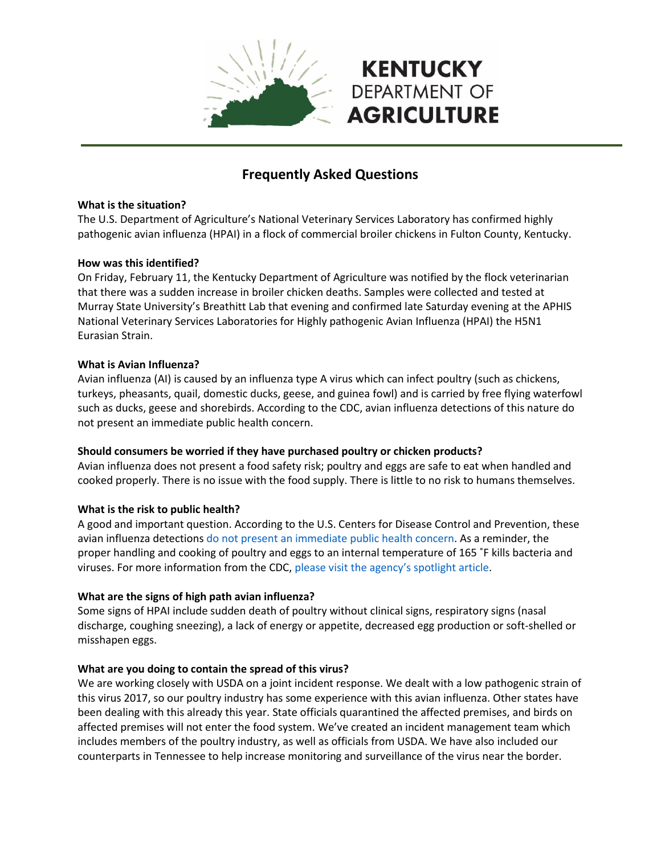

# **Frequently Asked Questions**

#### **What is the situation?**

The U.S. Department of Agriculture's National Veterinary Services Laboratory has confirmed highly pathogenic avian influenza (HPAI) in a flock of commercial broiler chickens in Fulton County, Kentucky.

## **How was this identified?**

On Friday, February 11, the Kentucky Department of Agriculture was notified by the flock veterinarian that there was a sudden increase in broiler chicken deaths. Samples were collected and tested at Murray State University's Breathitt Lab that evening and confirmed late Saturday evening at the APHIS National Veterinary Services Laboratories for Highly pathogenic Avian Influenza (HPAI) the H5N1 Eurasian Strain.

## **What is Avian Influenza?**

Avian influenza (AI) is caused by an influenza type A virus which can infect poultry (such as chickens, turkeys, pheasants, quail, domestic ducks, geese, and guinea fowl) and is carried by free flying waterfowl such as ducks, geese and shorebirds. According to the CDC, avian influenza detections of this nature do not present an immediate public health concern.

# **Should consumers be worried if they have purchased poultry or chicken products?**

Avian influenza does not present a food safety risk; poultry and eggs are safe to eat when handled and cooked properly. There is no issue with the food supply. There is little to no risk to humans themselves.

# **What is the risk to public health?**

A good and important question. According to the U.S. Centers for Disease Control and Prevention, these avian influenza detections do not present an immediate public health concern. As a reminder, the proper handling and cooking of poultry and eggs to an internal temperature of 165 ˚F kills bacteria and viruses. For more information from the CDC, please visit the agency's spotlight article.

#### **What are the signs of high path avian influenza?**

Some signs of HPAI include sudden death of poultry without clinical signs, respiratory signs (nasal discharge, coughing sneezing), a lack of energy or appetite, decreased egg production or soft-shelled or misshapen eggs.

# **What are you doing to contain the spread of this virus?**

We are working closely with USDA on a joint incident response. We dealt with a low pathogenic strain of this virus 2017, so our poultry industry has some experience with this avian influenza. Other states have been dealing with this already this year. State officials quarantined the affected premises, and birds on affected premises will not enter the food system. We've created an incident management team which includes members of the poultry industry, as well as officials from USDA. We have also included our counterparts in Tennessee to help increase monitoring and surveillance of the virus near the border.